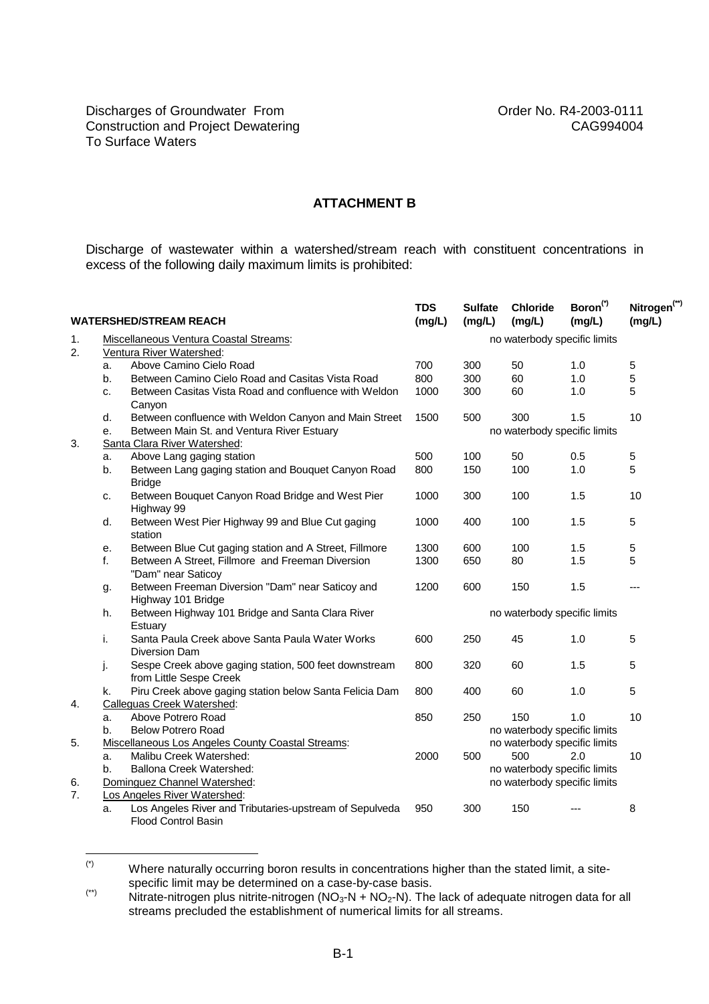## **ATTACHMENT B**

Discharge of wastewater within a watershed/stream reach with constituent concentrations in excess of the following daily maximum limits is prohibited:

| <b>WATERSHED/STREAM REACH</b> |                                                   |                                                                                  | <b>TDS</b><br>(mg/L)         | <b>Sulfate</b><br>(mg/L)     | Chloride<br>(mg/L)           | Boron <sup>(*)</sup><br>(mg/L) | Nitrogen <sup>(**)</sup><br>(mg/L) |  |  |  |
|-------------------------------|---------------------------------------------------|----------------------------------------------------------------------------------|------------------------------|------------------------------|------------------------------|--------------------------------|------------------------------------|--|--|--|
| 1.                            | Miscellaneous Ventura Coastal Streams:            |                                                                                  |                              | no waterbody specific limits |                              |                                |                                    |  |  |  |
| 2.                            | Ventura River Watershed:                          |                                                                                  |                              |                              |                              |                                |                                    |  |  |  |
|                               | a.                                                | Above Camino Cielo Road                                                          | 700                          | 300                          | 50                           | 1.0                            | 5                                  |  |  |  |
|                               | b.                                                | Between Camino Cielo Road and Casitas Vista Road                                 | 800                          | 300                          | 60                           | 1.0                            | 5                                  |  |  |  |
|                               | c.                                                | Between Casitas Vista Road and confluence with Weldon<br>Canyon                  | 1000                         | 300                          | 60                           | 1.0                            | 5                                  |  |  |  |
|                               | d.                                                | Between confluence with Weldon Canyon and Main Street                            | 1500                         | 500                          | 300                          | 1.5                            | 10                                 |  |  |  |
|                               | e.                                                | no waterbody specific limits<br>Between Main St. and Ventura River Estuary       |                              |                              |                              |                                |                                    |  |  |  |
| 3.                            |                                                   | Santa Clara River Watershed:                                                     |                              |                              |                              |                                |                                    |  |  |  |
|                               | a.                                                | Above Lang gaging station                                                        | 500                          | 100                          | 50                           | 0.5                            | 5                                  |  |  |  |
|                               | b.                                                | Between Lang gaging station and Bouquet Canyon Road<br><b>Bridge</b>             | 800                          | 150                          | 100                          | 1.0                            | 5                                  |  |  |  |
|                               | c.                                                | Between Bouquet Canyon Road Bridge and West Pier<br>Highway 99                   | 1000                         | 300                          | 100                          | 1.5                            | 10                                 |  |  |  |
|                               | d.                                                | Between West Pier Highway 99 and Blue Cut gaging<br>station                      | 1000                         | 400                          | 100                          | 1.5                            | 5                                  |  |  |  |
|                               | е.                                                | Between Blue Cut gaging station and A Street, Fillmore                           | 1300                         | 600                          | 100                          | 1.5                            | 5                                  |  |  |  |
|                               | f.                                                | Between A Street, Fillmore and Freeman Diversion<br>"Dam" near Saticoy           | 1300                         | 650                          | 80                           | 1.5                            | 5                                  |  |  |  |
|                               | g.                                                | Between Freeman Diversion "Dam" near Saticoy and<br>Highway 101 Bridge           | 1200                         | 600                          | 150                          | 1.5                            | ---                                |  |  |  |
|                               | h.                                                | Between Highway 101 Bridge and Santa Clara River<br>Estuary                      | no waterbody specific limits |                              |                              |                                |                                    |  |  |  |
|                               | i.                                                | Santa Paula Creek above Santa Paula Water Works<br>Diversion Dam                 | 600                          | 250                          | 45                           | 1.0                            | 5                                  |  |  |  |
|                               | j.                                                | Sespe Creek above gaging station, 500 feet downstream<br>from Little Sespe Creek | 800                          | 320                          | 60                           | 1.5                            | 5                                  |  |  |  |
|                               | k.                                                | Piru Creek above gaging station below Santa Felicia Dam                          | 800                          | 400                          | 60                           | 1.0                            | 5                                  |  |  |  |
| 4.                            | <b>Calleguas Creek Watershed:</b>                 |                                                                                  |                              |                              |                              |                                |                                    |  |  |  |
|                               | a.                                                | Above Potrero Road                                                               | 850                          | 250                          | 150                          | 1.0                            | 10                                 |  |  |  |
|                               | b.                                                | <b>Below Potrero Road</b>                                                        |                              |                              | no waterbody specific limits |                                |                                    |  |  |  |
| 5.                            | Miscellaneous Los Angeles County Coastal Streams: |                                                                                  |                              |                              | no waterbody specific limits |                                |                                    |  |  |  |
|                               | a.                                                | Malibu Creek Watershed:                                                          | 2000                         | 500                          | 500                          | 2.0                            | 10                                 |  |  |  |
|                               | Ballona Creek Watershed:<br>b.                    |                                                                                  |                              |                              | no waterbody specific limits |                                |                                    |  |  |  |
| 6.                            |                                                   | Dominguez Channel Watershed:                                                     |                              |                              | no waterbody specific limits |                                |                                    |  |  |  |
| 7.                            | Los Angeles River Watershed:                      |                                                                                  |                              |                              |                              |                                |                                    |  |  |  |
|                               | a.                                                | Los Angeles River and Tributaries-upstream of Sepulveda<br>Flood Control Basin   | 950                          | 300                          | 150                          |                                | 8                                  |  |  |  |

 $(*)$ Where naturally occurring boron results in concentrations higher than the stated limit, a sitespecific limit may be determined on a case-by-case basis.

<sup>(\*\*)</sup> Specific limit may be determined on a case by ease basis.<br>Nitrate-nitrogen plus nitrite-nitrogen (NO<sub>3</sub>-N + NO<sub>2</sub>-N). The lack of adequate nitrogen data for all streams precluded the establishment of numerical limits for all streams.